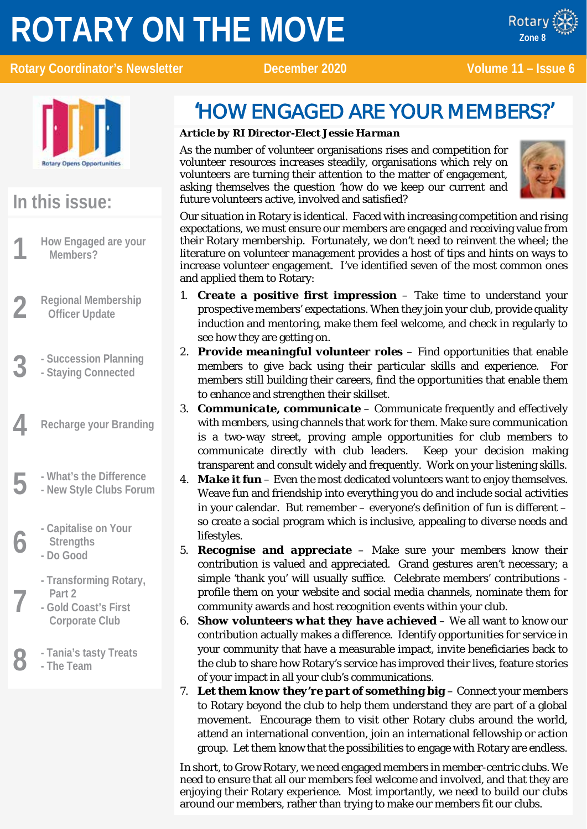# **ROTARY ON THE MOVE**



Rotary Coordinator's Newsletter December 2020 Volume 11 – Issue 6



x ROTARY

### **In this issue:**

- **1 How Engaged are your Members?**
- **2 Regional Membership Officer Update**
- **3 - Succession Planning**
- **- Staying Connected**
- **4 Recharge your Branding**
- 
- **5 - What's the Difference - New Style Clubs Forum**
	- **6 - Capitalise on Your Strengths**
	- **- Do Good**
	- **7 - Transforming Rotary, Part 2**
	- **- Gold Coast's First Corporate Club**
	- **8 - Tania's tasty Treats**
		- **- The Team**

### 'HOW ENGAGED ARE YOUR MEMBERS?'

#### *Article by RI Director-Elect Jessie Harman*

As the number of volunteer organisations rises and competition for volunteer resources increases steadily, organisations which rely on volunteers are turning their attention to the matter of engagement, asking themselves the question 'how do we keep our current and future volunteers active, involved and satisfied?



Our situation in Rotary is identical. Faced with increasing competition and rising expectations, we must ensure our members are engaged and receiving value from their Rotary membership. Fortunately, we don't need to reinvent the wheel; the literature on volunteer management provides a host of tips and hints on ways to increase volunteer engagement. I've identified seven of the most common ones and applied them to Rotary:

- 1. *Create a positive first impression* Take time to understand your prospective members' expectations. When they join your club, provide quality induction and mentoring, make them feel welcome, and check in regularly to see how they are getting on.
- 2. *Provide meaningful volunteer roles* Find opportunities that enable members to give back using their particular skills and experience. For members still building their careers, find the opportunities that enable them to enhance and strengthen their skillset.
- 3. *Communicate, communicate* Communicate frequently and effectively with members, using channels that work for them. Make sure communication is a two-way street, proving ample opportunities for club members to communicate directly with club leaders. Keep your decision making transparent and consult widely and frequently. Work on your listening skills.
- 4. *Make it fun* Even the most dedicated volunteers want to enjoy themselves. Weave fun and friendship into everything you do and include social activities in your calendar. But remember – everyone's definition of fun is different – so create a social program which is inclusive, appealing to diverse needs and lifestyles.
- 5. *Recognise and appreciate* Make sure your members know their contribution is valued and appreciated. Grand gestures aren't necessary; a simple 'thank you' will usually suffice. Celebrate members' contributions profile them on your website and social media channels, nominate them for community awards and host recognition events within your club.
- 6. *Show volunteers what they have achieved* We all want to know our contribution actually makes a difference. Identify opportunities for service in your community that have a measurable impact, invite beneficiaries back to the club to share how Rotary's service has improved their lives, feature stories of your impact in all your club's communications.
- 7. *Let them know they're part of something big* Connect your members to Rotary beyond the club to help them understand they are part of a global movement. Encourage them to visit other Rotary clubs around the world, attend an international convention, join an international fellowship or action group. Let them know that the possibilities to engage with Rotary are endless.

In short, to Grow Rotary, we need engaged members in member-centric clubs. We need to ensure that all our members feel welcome and involved, and that they are enjoying their Rotary experience. Most importantly, we need to build our clubs around our members, rather than trying to make our members fit our clubs.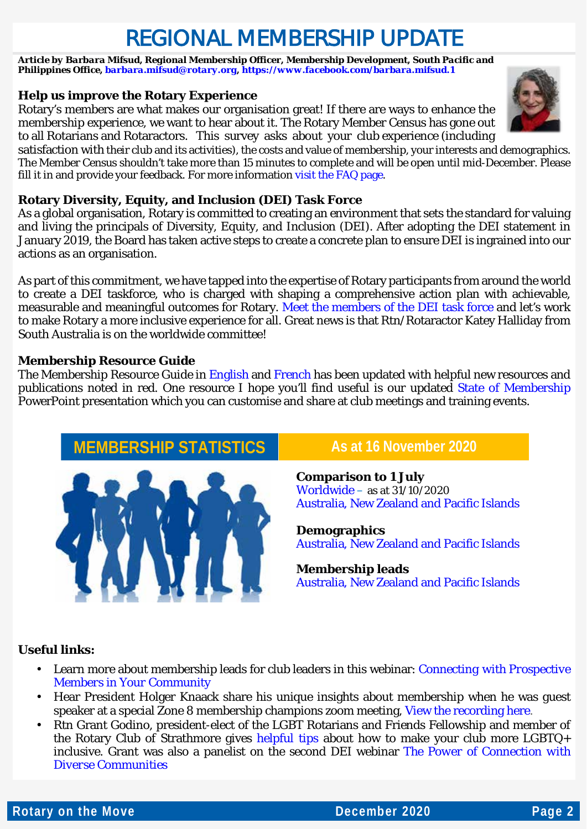## REGIONAL MEMBERSHIP UPDATE

*Article by Barbara Mifsud, Regional Membership Officer, Membership Development, South Pacific and Philippines Office[, barbara.mifsud@rotary.org,](mailto:barbara.mifsud@rotary.org)<https://www.facebook.com/barbara.mifsud.1>*

#### **Help us improve the Rotary Experience**

Rotary's members are what makes our organisation great! If there are ways to enhance the membership experience, we want to hear about it. The Rotary Member Census has gone out to all Rotarians and Rotaractors. This survey asks about your club experience (including

satisfaction with their club and its activities), the costs and value of membership, your interests and demographics. The Member Census shouldn't take more than 15 minutes to complete and will be open until mid-December. Please fill it in and provide your feedback. For more information [visit the FAQ page.](https://rotary.qualtrics.com/CP/File.php?F=F_42bUSB73oRdF4ah)

#### **Rotary Diversity, Equity, and Inclusion (DEI) Task Force**

As a global organisation, Rotary is committed to creating an environment that sets the standard for valuing and living the principals of Diversity, Equity, and Inclusion (DEI). After adopting the DEI statement in January 2019, the Board has taken active steps to create a concrete plan to ensure DEI is ingrained into our actions as an organisation.

As part of this commitment, we have tapped into the expertise of Rotary participants from around the world to create a DEI taskforce, who is charged with shaping a comprehensive action plan with achievable, measurable and meaningful outcomes for Rotary. [Meet the members of the DEI task force](https://my.rotary.org/en/meet-rotarys-diversity-equity-and-inclusion-taskforce) and let's work to make Rotary a more inclusive experience for all. Great news is that Rtn/Rotaractor Katey Halliday from South Australia is on the worldwide committee!

#### **Membership Resource Guide**

The Membership Resource Guide in [English](https://www.dropbox.com/s/fcv2u1mqs7tnxbs/MembershipResourceGuide_BM%20-%20Zone%208%20-%20November%202020.docx?dl=0) and [French](https://www.dropbox.com/s/wi5lpbfczme3ge4/MembershipResourceGuide_BM%20-%20Zone%208%20-%20November%202020_FR.docx?dl=0) has been updated with helpful new resources and publications noted in red. One resource I hope you'll find useful is our updated [State of Membership](https://my.rotary.org/document/state-membership-presentation-july) PowerPoint presentation which you can customise and share at club meetings and training events.

### **MEMBERSHIP STATISTICS** As at 16 November 2020



**Comparison to 1 July** [Worldwide](https://l.facebook.com/l.php?u=http%3A%2F%2Fmsgfocus.rotary.org%2Ffiles%2Famf_highroad_solution%2Fproject_188%2FComparison_to_start_figures_Oct2020.pdf%3Ffbclid%3DIwAR1m46uHLXCbhfhUq0Yos7dhGnyCfrnTxoqsnIVnbDmvCOJeLa6a6_S1lAA&h=AT3nOtTmEL0nP4v_OhXmHPP95T12a3jGwGqUOKR1IQkkerttq_2olxxkpsVUcW5GHR5jXkkJnXteqQPlgwi_3H6MMDL2rz2cri4Nv6bH6SYtaIc7tGsC6SWin5ZMdWAI6to3&__tn__=-UK-R&c%5b0%5d=AT1Gn-MHlnKkBULnMohOAU_JDBjWEO6CMS7C7psQP7X7pT2v6mrRawI7aTKP2hoPGi9Qk4KEMeavE9o8vM9uUqvUrTl9qWcNneiFxUNPinl7gZNqBdbmJOHqby-oa88IygA8W9tvtqIaRk7I96mcyTylEw) – as at 31/10/2020 Australia, [New Zealand and Pacific Islands](https://www.dropbox.com/s/cs9140u84s5mh6f/20201116%20-%20Australia%20New%20Zealand%20and%20Pacific%20Islands%20Comparison_to_1_July%20-%202020-11-16T211853.629.pdf?dl=0)

**Demographics** [Australia, New Zealand and Pacific Islands](https://www.dropbox.com/s/kuzsx2e8s0pzwbj/20201116%20-%20Australia%20New%20Zealand%20and%20Pacific%20Islands%20-%20District%20membership%20progress%20to%20goal.pdf?dl=0)

#### **Membership leads** [Australia, New Zealand and Pacific Islands](https://www.dropbox.com/s/3f9zk490v5qm4yg/20201116%20-%20Australia%20New%20Zealand%20and%20Pacific%20Islands%20-%20RMO_Membership_Leads_Success_Report%20%2867%29.pdf?dl=0)

#### **Useful links:**

- Learn more about membership leads for club leaders in this webinar: *[Connecting with Prospective](https://vimeo.com/channels/rotarymembership/471435576?fbclid=IwAR0JTF38Kmjp8Gte8mnyaNacgKsiXv69J8FygxcwJSG_-mbChMMbyoXw4y8)  [Members in Your Community](https://vimeo.com/channels/rotarymembership/471435576?fbclid=IwAR0JTF38Kmjp8Gte8mnyaNacgKsiXv69J8FygxcwJSG_-mbChMMbyoXw4y8)*
- Hear President Holger Knaack share his unique insights about membership when he was guest speaker at a special Zone 8 membership champions zoom meeting, [View the recording here.](https://youtu.be/YWEv010tZGc)
- Rtn Grant Godino, president-elect of the LGBT Rotarians and Friends Fellowship and member of the Rotary Club of Strathmore gives [helpful tips](https://blog.rotary.org/2020/10/20/what-you-can-do-to-make-your-club-more-lgbtq-inclusive/) about how to make your club more LGBTQ+ inclusive. Grant was also a panelist on the second DEI webinar *[The Power of Connection with](https://vimeo.com/channels/rotarymembership/478966944)  [Diverse Communities](https://vimeo.com/channels/rotarymembership/478966944)*

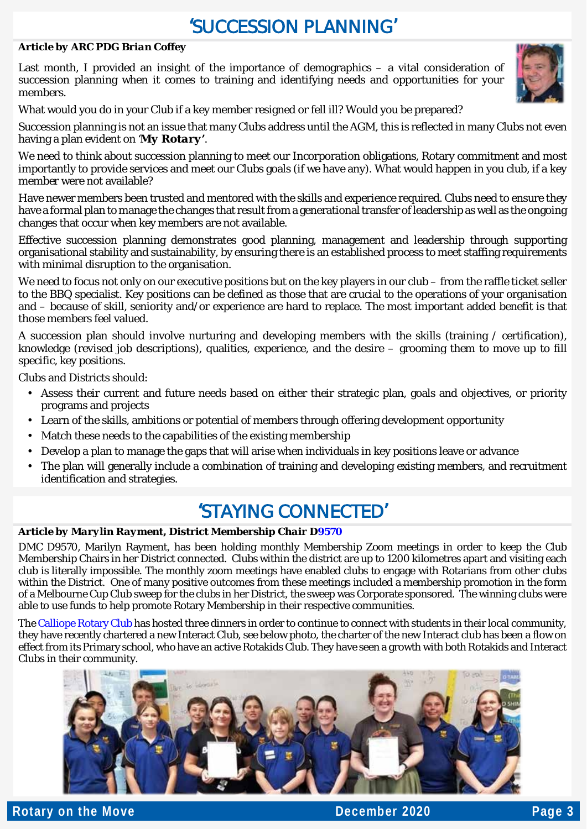### 'SUCCESSION PLANNING'

#### *Article by ARC PDG Brian Coffey*

Last month, I provided an insight of the importance of demographics – a vital consideration of succession planning when it comes to training and identifying needs and opportunities for your members.



What would you do in your Club if a key member resigned or fell ill? Would you be prepared?

Succession planning is not an issue that many Clubs address until the AGM, this is reflected in many Clubs not even having a plan evident on *'My Rotary'*.

We need to think about succession planning to meet our Incorporation obligations, Rotary commitment and most importantly to provide services and meet our Clubs goals (if we have any). What would happen in you club, if a key member were not available?

Have newer members been trusted and mentored with the skills and experience required. Clubs need to ensure they have a formal plan to manage the changes that result from a generational transfer of leadership as well as the ongoing changes that occur when key members are not available.

Effective succession planning demonstrates good planning, management and leadership through supporting organisational stability and sustainability, by ensuring there is an established process to meet staffing requirements with minimal disruption to the organisation.

We need to focus not only on our executive positions but on the key players in our club – from the raffle ticket seller to the BBQ specialist. Key positions can be defined as those that are crucial to the operations of your organisation and – because of skill, seniority and/or experience are hard to replace. The most important added benefit is that those members feel valued.

A succession plan should involve nurturing and developing members with the skills (training / certification), knowledge (revised job descriptions), qualities, experience, and the desire – grooming them to move up to fill specific, key positions.

Clubs and Districts should:

- Assess their current and future needs based on either their strategic plan, goals and objectives, or priority programs and projects
- Learn of the skills, ambitions or potential of members through offering development opportunity  $\ddot{\phantom{a}}$
- Match these needs to the capabilities of the existing membership
- Develop a plan to manage the gaps that will arise when individuals in key positions leave or advance
- The plan will generally include a combination of training and developing existing members, and recruitment identification and strategies.

### 'STAYING CONNECTED'

#### *Article by Marylin Rayment, District Membership Chair [D9570](https://rotary9570.org/)*

DMC D9570, Marilyn Rayment, has been holding monthly Membership Zoom meetings in order to keep the Club Membership Chairs in her District connected. Clubs within the district are up to 1200 kilometres apart and visiting each club is literally impossible. The monthly zoom meetings have enabled clubs to engage with Rotarians from other clubs within the District. One of many positive outcomes from these meetings included a membership promotion in the form of a Melbourne Cup Club sweep for the clubs in her District, the sweep was Corporate sponsored. The winning clubs were able to use funds to help promote Rotary Membership in their respective communities.

Th[e Calliope Rotary Club](https://www.facebook.com/callioperotaryclub/?__xts__) has hosted three dinners in order to continue to connect with students in their local community, they have recently chartered a new Interact Club, see below photo, the charter of the new Interact club has been a flow on effect from its Primary school, who have an active Rotakids Club. They have seen a growth with both Rotakids and Interact Clubs in their community.



**Rotary on the Move December 2020 Page 3**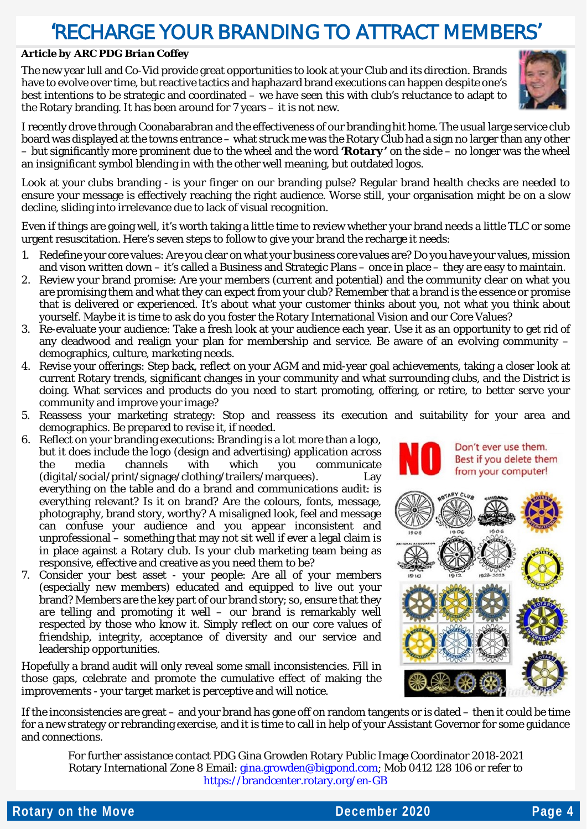### 'RECHARGE YOUR BRANDING TO ATTRACT MEMBERS'

#### *Article by ARC PDG Brian Coffey*

The new year lull and Co-Vid provide great opportunities to look at your Club and its direction. Brands have to evolve over time, but reactive tactics and haphazard brand executions can happen despite one's best intentions to be strategic and coordinated – we have seen this with club's reluctance to adapt to the Rotary branding. It has been around for 7 years – it is not new.



I recently drove through Coonabarabran and the effectiveness of our branding hit home. The usual large service club board was displayed at the towns entrance – what struck me was the Rotary Club had a sign no larger than any other – but significantly more prominent due to the wheel and the word *'Rotary'* on the side – no longer was the wheel an insignificant symbol blending in with the other well meaning, but outdated logos.

Look at your clubs branding - is your finger on our branding pulse? Regular brand health checks are needed to ensure your message is effectively reaching the right audience. Worse still, your organisation might be on a slow decline, sliding into irrelevance due to lack of visual recognition.

Even if things are going well, it's worth taking a little time to review whether your brand needs a little TLC or some urgent resuscitation. Here's seven steps to follow to give your brand the recharge it needs:

- 1. Redefine your core values: Are you clear on what your business core values are? Do you have your values, mission and vison written down – it's called a Business and Strategic Plans – once in place – they are easy to maintain.
- 2. Review your brand promise: Are your members (current and potential) and the community clear on what you are promising them and what they can expect from your club? Remember that a brand is the essence or promise that is delivered or experienced. It's about what your customer thinks about you, not what you think about yourself. Maybe it is time to ask do you foster the Rotary International Vision and our Core Values?
- 3. Re-evaluate your audience: Take a fresh look at your audience each year. Use it as an opportunity to get rid of any deadwood and realign your plan for membership and service. Be aware of an evolving community – demographics, culture, marketing needs.
- 4. Revise your offerings: Step back, reflect on your AGM and mid-year goal achievements, taking a closer look at current Rotary trends, significant changes in your community and what surrounding clubs, and the District is doing. What services and products do you need to start promoting, offering, or retire, to better serve your community and improve your image?
- 5. Reassess your marketing strategy: Stop and reassess its execution and suitability for your area and demographics. Be prepared to revise it, if needed.
- 6. Reflect on your branding executions: Branding is a lot more than a logo, but it does include the logo (design and advertising) application across the media channels with which you communicate (digital/social/print/signage/clothing/trailers/marquees). Lay everything on the table and do a brand and communications audit: is everything relevant? Is it on brand? Are the colours, fonts, message, photography, brand story, worthy? A misaligned look, feel and message can confuse your audience and you appear inconsistent and unprofessional – something that may not sit well if ever a legal claim is in place against a Rotary club. Is your club marketing team being as responsive, effective and creative as you need them to be?
- 7. Consider your best asset your people: Are all of your members (especially new members) educated and equipped to live out your brand? Members are the key part of our brand story; so, ensure that they are telling and promoting it well – our brand is remarkably well respected by those who know it. Simply reflect on our core values of friendship, integrity, acceptance of diversity and our service and leadership opportunities.

Hopefully a brand audit will only reveal some small inconsistencies. Fill in those gaps, celebrate and promote the cumulative effect of making the improvements - your target market is perceptive and will notice.



Don't ever use them.

If the inconsistencies are great – and your brand has gone off on random tangents or is dated – then it could be time for a new strategy or rebranding exercise, and it is time to call in help of your Assistant Governor for some guidance and connections.

For further assistance contact PDG Gina Growden Rotary Public Image Coordinator 2018-2021 Rotary International Zone 8 Email: [gina.growden@bigpond.com;](mailto:gina.growden@bigpond.com) Mob 0412 128 106 or refer to <https://brandcenter.rotary.org/en-GB>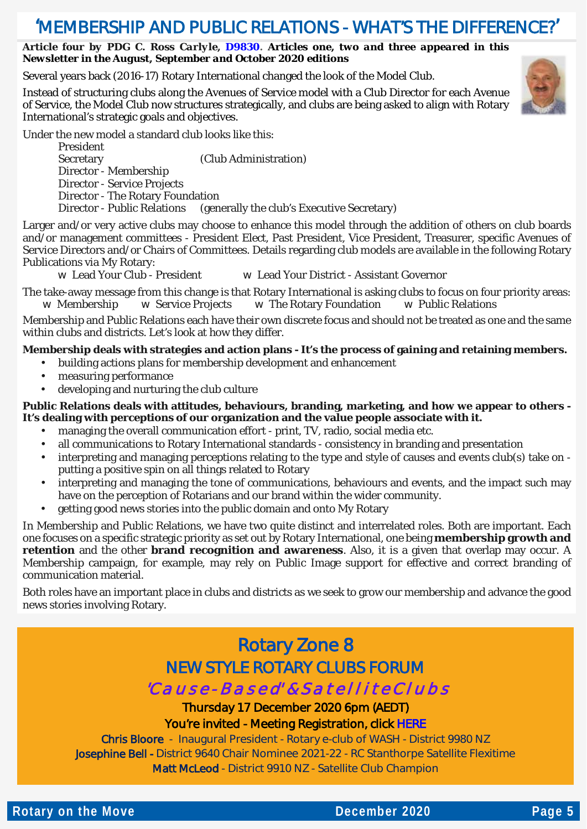### 'MEMBERSHIP AND PUBLIC RELATIONS - WHAT'S THE DIFFERENCE?'

#### *Article four by PDG C. Ross Carlyle, [D9830.](https://rotary9830.org.au/) Articles one, two and three appeared in this Newsletter in the August, September and October 2020 editions*

Several years back (2016-17) Rotary International changed the look of the Model Club.

Instead of structuring clubs along the Avenues of Service model with a Club Director for each Avenue of Service, the Model Club now structures strategically, and clubs are being asked to align with Rotary International's strategic goals and objectives.

Under the new model a standard club looks like this:

President Secretary (Club Administration) Director - Membership Director - Service Projects Director - The Rotary Foundation Director - Public Relations (generally the club's Executive Secretary)

Larger and/or very active clubs may choose to enhance this model through the addition of others on club boards and/or management committees - President Elect, Past President, Vice President, Treasurer, specific Avenues of Service Directors and/or Chairs of Committees. Details regarding club models are available in the following Rotary Publications via My Rotary:<br>**W** Lead Your Club - President

w Lead Your District - Assistant Governor

The take-away message from this change is that Rotary International is asking clubs to focus on four priority areas: w Membership w Service Projects w The Rotary Foundation w Public Relations

Membership and Public Relations each have their own discrete focus and should not be treated as one and the same within clubs and districts. Let's look at how they differ.

#### **Membership deals with strategies and action plans - It's the process of gaining and retaining members.**

- building actions plans for membership development and enhancement
- measuring performance
- developing and nurturing the club culture

#### **Public Relations deals with attitudes, behaviours, branding, marketing, and how we appear to others - It's dealing with perceptions of our organization and the value people associate with it.**

- managing the overall communication effort print, TV, radio, social media etc.
- all communications to Rotary International standards consistency in branding and presentation
- interpreting and managing perceptions relating to the type and style of causes and events club(s) take on putting a positive spin on all things related to Rotary
- interpreting and managing the tone of communications, behaviours and events, and the impact such may have on the perception of Rotarians and our brand within the wider community.
- getting good news stories into the public domain and onto My Rotary

In Membership and Public Relations, we have two quite distinct and interrelated roles. Both are important. Each one focuses on a specific strategic priority as set out by Rotary International, one being **membership growth and retention** and the other **brand recognition and awareness**. Also, it is a given that overlap may occur. A Membership campaign, for example, may rely on Public Image support for effective and correct branding of communication material.

Both roles have an important place in clubs and districts as we seek to grow our membership and advance the good news stories involving Rotary.

### Rotary Zone 8 NEW STYLE ROTARY CLUBS FORUM

#### 'C a u s e - B a s e d' & S a t e l l i t e C l u b s

Thursday 17 December 2020 6pm (AEDT) You're invited - Meeting Registration, click [HERE](https://rotary-org.zoom.us/meeting/register/tJUkf-qqqTwsE9RubyEcdknp_vv3hsa81JHs) 

Chris Bloore - Inaugural President - Rotary e-club of WASH - District 9980 NZ Josephine Bell - District 9640 Chair Nominee 2021-22 - RC Stanthorpe Satellite Flexitime Matt McLeod - District 9910 NZ - Satellite Club Champion

**Rotary on the Move December 2020 Page 5** 

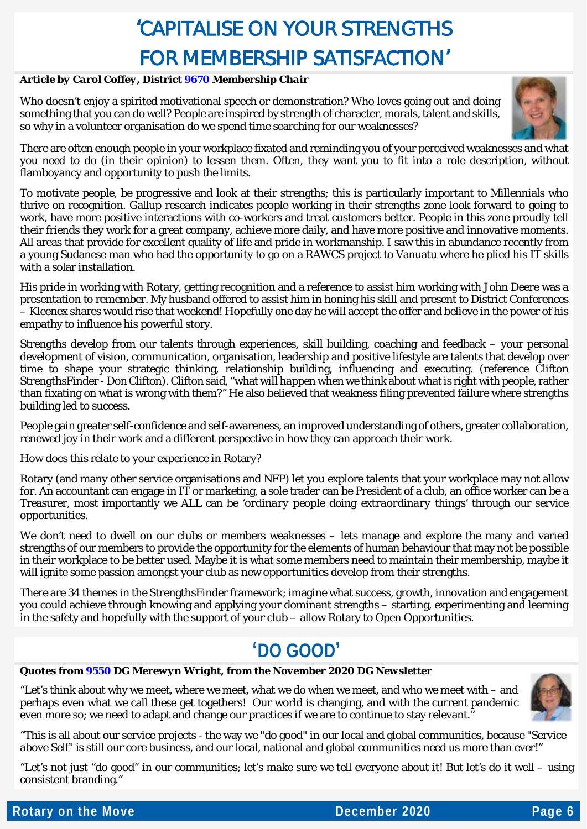## 'CAPITALISE ON YOUR STRENGTHS FOR MEMBERSHIP SATISFACTION'

#### *Article by Carol Coffey, Distric[t 9670](https://rotary9670.org.au/) Membership Chair*

Who doesn't enjoy a spirited motivational speech or demonstration? Who loves going out and doing something that you can do well? People are inspired by strength of character, morals, talent and skills, so why in a volunteer organisation do we spend time searching for our weaknesses?



There are often enough people in your workplace fixated and reminding you of your perceived weaknesses and what you need to do (in their opinion) to lessen them. Often, they want you to fit into a role description, without flamboyancy and opportunity to push the limits.

To motivate people, be progressive and look at their strengths; this is particularly important to Millennials who thrive on recognition. Gallup research indicates people working in their strengths zone look forward to going to work, have more positive interactions with co-workers and treat customers better. People in this zone proudly tell their friends they work for a great company, achieve more daily, and have more positive and innovative moments. All areas that provide for excellent quality of life and pride in workmanship. I saw this in abundance recently from a young Sudanese man who had the opportunity to go on a RAWCS project to Vanuatu where he plied his IT skills with a solar installation.

His pride in working with Rotary, getting recognition and a reference to assist him working with John Deere was a presentation to remember. My husband offered to assist him in honing his skill and present to District Conferences – Kleenex shares would rise that weekend! Hopefully one day he will accept the offer and believe in the power of his empathy to influence his powerful story.

Strengths develop from our talents through experiences, skill building, coaching and feedback – your personal development of vision, communication, organisation, leadership and positive lifestyle are talents that develop over time to shape your strategic thinking, relationship building, influencing and executing. (reference Clifton StrengthsFinder - Don Clifton). Clifton said, "what will happen when we think about what is right with people, rather than fixating on what is wrong with them?" He also believed that weakness filing prevented failure where strengths building led to success.

People gain greater self-confidence and self-awareness, an improved understanding of others, greater collaboration, renewed joy in their work and a different perspective in how they can approach their work.

How does this relate to your experience in Rotary?

Rotary (and many other service organisations and NFP) let you explore talents that your workplace may not allow for. An accountant can engage in IT or marketing, a sole trader can be President of a club, an office worker can be a Treasurer, most importantly we ALL can be '*ordinary people doing extraordinary things'* through our service opportunities.

We don't need to dwell on our clubs or members weaknesses – lets manage and explore the many and varied strengths of our members to provide the opportunity for the elements of human behaviour that may not be possible in their workplace to be better used. Maybe it is what some members need to maintain their membership, maybe it will ignite some passion amongst your club as new opportunities develop from their strengths.

There are 34 themes in the StrengthsFinder framework; imagine what success, growth, innovation and engagement you could achieve through knowing and applying your dominant strengths – starting, experimenting and learning in the safety and hopefully with the support of your club – allow Rotary to Open Opportunities.

### **'DO GOOD'**

#### *Quotes from [9550](https://www.d9550rotary.org.au/) DG Merewyn Wright, from the November 2020 DG Newsletter*

"Let's think about why we meet, where we meet, what we do when we meet, and who we meet with – and perhaps even what we call these get togethers! Our world is changing, and with the current pandemic even more so; we need to adapt and change our practices if we are to continue to stay relevant."



"This is all about our service projects - the way we "do good" in our local and global communities, because "Service above Self" is still our core business, and our local, national and global communities need us more than ever!"

"Let's not just "do good" in our communities; let's make sure we tell everyone about it! But let's do it well – using consistent branding."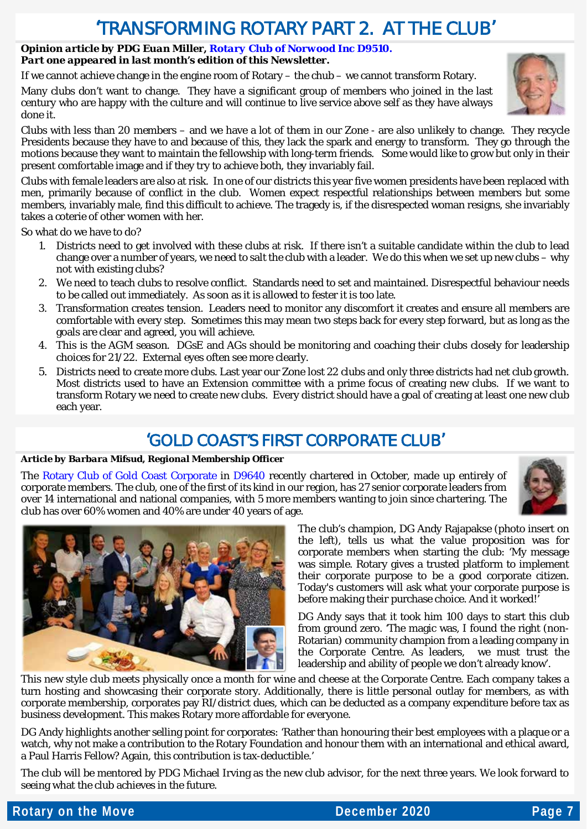### 'TRANSFORMING ROTARY PART 2. AT THE CLUB'

#### *Opinion article by PDG Euan Miller, [Rotary Club of Norwood Inc D9510.](http://rotarynorwood.org.au/) Part one appeared in last month's edition of this Newsletter.*

If we cannot achieve change in the engine room of Rotary – the chub – we cannot transform Rotary.

Many clubs don't want to change. They have a significant group of members who joined in the last century who are happy with the culture and will continue to live service above self as they have always done it.

Clubs with less than 20 members – and we have a lot of them in our Zone - are also unlikely to change. They recycle Presidents because they have to and because of this, they lack the spark and energy to transform. They go through the motions because they want to maintain the fellowship with long-term friends. Some would like to grow but only in their present comfortable image and if they try to achieve both, they invariably fail.

Clubs with female leaders are also at risk. In one of our districts this year five women presidents have been replaced with men, primarily because of conflict in the club. Women expect respectful relationships between members but some members, invariably male, find this difficult to achieve. The tragedy is, if the disrespected woman resigns, she invariably takes a coterie of other women with her.

So what do we have to do?

- 1. Districts need to get involved with these clubs at risk. If there isn't a suitable candidate within the club to lead change over a number of years, we need to salt the club with a leader. We do this when we set up new clubs – why not with existing clubs?
- 2. We need to teach clubs to resolve conflict. Standards need to set and maintained. Disrespectful behaviour needs to be called out immediately. As soon as it is allowed to fester it is too late.
- 3. Transformation creates tension. Leaders need to monitor any discomfort it creates and ensure all members are comfortable with every step. Sometimes this may mean two steps back for every step forward, but as long as the goals are clear and agreed, you will achieve.
- 4. This is the AGM season. DGsE and AGs should be monitoring and coaching their clubs closely for leadership choices for 21/22. External eyes often see more clearly.
- 5. Districts need to create more clubs. Last year our Zone lost 22 clubs and only three districts had net club growth. Most districts used to have an Extension committee with a prime focus of creating new clubs. If we want to transform Rotary we need to create new clubs. Every district should have a goal of creating at least one new club each year.

### 'GOLD COAST'S FIRST CORPORATE CLUB'

#### *Article by Barbara Mifsud, Regional Membership Officer*

The [Rotary Club of Gold Coast Corporate](https://rotary9640.org/clubInfo/gold-coast-corporate) in [D9640](https://rotary9640.org/clubInfo/gold-coast-corporate) recently chartered in October, made up entirely of corporate members. The club, one of the first of its kind in our region, has 27 senior corporate leaders from over 14 international and national companies, with 5 more members wanting to join since chartering. The club has over 60% women and 40% are under 40 years of age.





The club's champion, DG Andy Rajapakse (photo insert on the left), tells us what the value proposition was for corporate members when starting the club: 'My message was simple. Rotary gives a trusted platform to implement their corporate purpose to be a good corporate citizen. Today's customers will ask what your corporate purpose is before making their purchase choice. And it worked!'

DG Andy says that it took him 100 days to start this club from ground zero. 'The magic was, I found the right (non-Rotarian) community champion from a leading company in the Corporate Centre. As leaders, we must trust the leadership and ability of people we don't already know'.

This new style club meets physically once a month for wine and cheese at the Corporate Centre. Each company takes a turn hosting and showcasing their corporate story. Additionally, there is little personal outlay for members, as with corporate membership, corporates pay RI/district dues, which can be deducted as a company expenditure before tax as business development. This makes Rotary more affordable for everyone.

DG Andy highlights another selling point for corporates: 'Rather than honouring their best employees with a plaque or a watch, why not make a contribution to the Rotary Foundation and honour them with an international and ethical award, a Paul Harris Fellow? Again, this contribution is tax-deductible.'

The club will be mentored by PDG Michael Irving as the new club advisor, for the next three years. We look forward to seeing what the club achieves in the future.